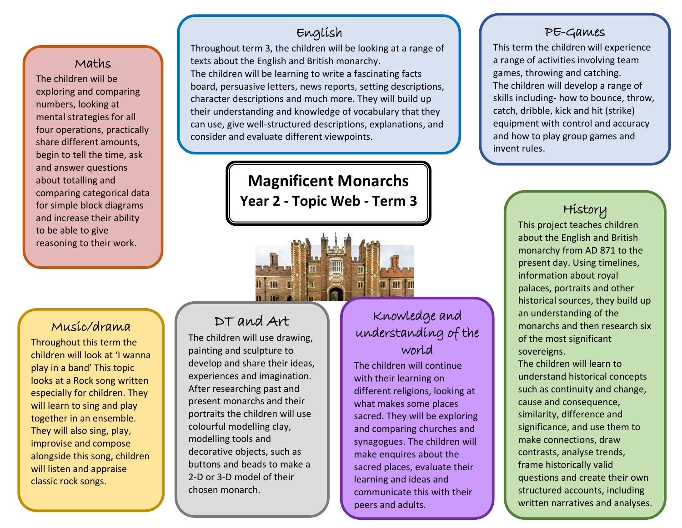## Maths

t begin to tell the time, ask comparing categoriear dat<br>for simple block diagrams The children will be exploring and comparing numbers, looking at mental strategies for all four operations, practically share different amounts, and answer questions about totalling and comparing categorical data and increase their ability to be able to give reasoning to their work.

## English

Throughout term 3, the children will be looking at a range of texts about the English and British monarchy. The children will be learning to write a fascinating facts board, persuasive letters, news reports, setting descriptions, character descriptions and much more. They will build up their understanding and knowledge of vocabulary that they can use, give well-structured descriptions, explanations, and consider and evaluate different viewpoints.

> **Magnificent Monarchs Year 2 - Topic Web - Term 3**

## Music/drama

Throughout this term the children will look at 'I wanna play in a band' This topic looks at a Rock song written especially for children. They will learn to sing and play together in an ensemble. They will also sing, play, improvise and compose alongside this song, children will listen and appraise classic rock songs.

j

## DT and Art

IΠ

The children will use drawing, painting and sculpture to develop and share their ideas, experiences and imagination. After researching past and present monarchs and their portraits the children will use colourful modelling clay, modelling tools and decorative objects, such as buttons and beads to make a 2-D or 3-D model of their chosen monarch.

# Knowledge and understanding of the world

The children will continue with their learning on different religions, looking at what makes some places sacred. They will be exploring and comparing churches and synagogues. The children will make enquires about the sacred places, evaluate their learning and ideas and communicate this with their peers and adults.

í

#### PE-Games

This term the children will experience a range of activities involving team games, throwing and catching. The children will develop a range of skills including- how to bounce, throw, catch, dribble, kick and hit (strike) equipment with control and accuracy and how to play group games and invent rules.

## History

This project teaches children about the English and British monarchy from AD 871 to the present day. Using timelines, information about royal palaces, portraits and other historical sources, they build up an understanding of the monarchs and then research six of the most significant sovereigns. The children will learn to understand historical concepts such as continuity and change, cause and consequence, similarity, difference and significance, and use them to make connections, draw contrasts, analyse trends, frame historically valid questions and create their own structured accounts, including written narratives and analyses.